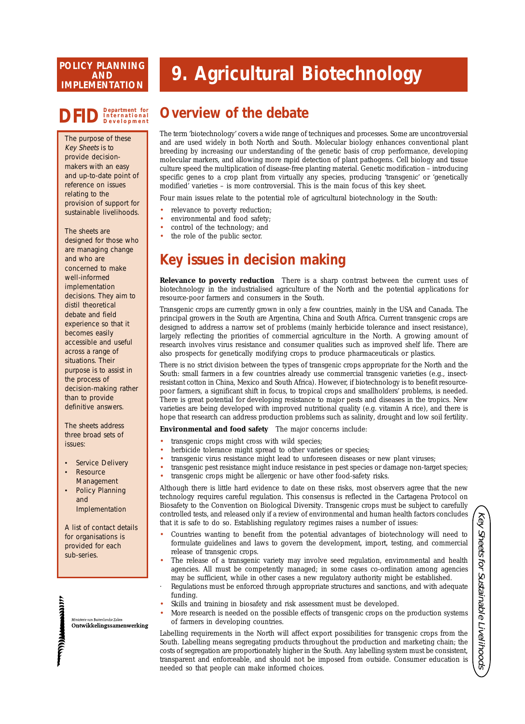#### **SERVICE AND IMPLEMENTATION POLICY PLANNING**

# **9. Agricultural Biotechnology**

# **DFIDDepartment for International Development**

The purpose of these Key Sheets is to provide decisionmakers with an easy and up-to-date point of reference on issues relating to the provision of support for sustainable livelihoods.

The sheets are designed for those who are managing change and who are concerned to make well-informed implementation decisions. They aim to distil theoretical debate and field experience so that it becomes easily accessible and useful across a range of situations. Their purpose is to assist in the process of decision-making rather than to provide definitive answers.

The sheets address three broad sets of issues:

- Service Delivery
- **Resource** Management
- Policy Planning and Implementation

A list of contact details for organisations is provided for each sub-series.

van Buitenlandse Zaker Ontwikkelingssamenwerking

**THE MAIN** 

**WINDOW** 

## **Overview of the debate**

The term 'biotechnology' covers a wide range of techniques and processes. Some are uncontroversial and are used widely in both North and South. Molecular biology enhances conventional plant breeding by increasing our understanding of the genetic basis of crop performance, developing molecular markers, and allowing more rapid detection of plant pathogens. Cell biology and tissue culture speed the multiplication of disease-free planting material. Genetic modification – introducing specific genes to a crop plant from virtually any species, producing 'transgenic' or 'genetically modified' varieties – is more controversial. This is the main focus of this key sheet.

Four main issues relate to the potential role of agricultural biotechnology in the South:

- relevance to poverty reduction;
- environmental and food safety;
- control of the technology; and
- the role of the public sector.

## **Key issues in decision making**

**Relevance to poverty reduction** There is a sharp contrast between the current uses of biotechnology in the industrialised agriculture of the North and the potential applications for resource-poor farmers and consumers in the South.

Transgenic crops are currently grown in only a few countries, mainly in the USA and Canada. The principal growers in the South are Argentina, China and South Africa. Current transgenic crops are designed to address a narrow set of problems (mainly herbicide tolerance and insect resistance), largely reflecting the priorities of commercial agriculture in the North. A growing amount of research involves virus resistance and consumer qualities such as improved shelf life. There are also prospects for genetically modifying crops to produce pharmaceuticals or plastics.

There is no strict division between the types of transgenic crops appropriate for the North and the South: small farmers in a few countries already use commercial transgenic varieties (e.g., insectresistant cotton in China, Mexico and South Africa). However, if biotechnology is to benefit resourcepoor farmers, a significant shift in focus, to tropical crops and smallholders' problems, is needed. There is great potential for developing resistance to major pests and diseases in the tropics. New varieties are being developed with improved nutritional quality (e.g. vitamin A rice), and there is hope that research can address production problems such as salinity, drought and low soil fertility.

**Environmental and food safety** The major concerns include:

- transgenic crops might cross with wild species;
- herbicide tolerance might spread to other varieties or species;
- transgenic virus resistance might lead to unforeseen diseases or new plant viruses;
- transgenic pest resistance might induce resistance in pest species or damage non-target species;
	- transgenic crops might be allergenic or have other food-safety risks.

Although there is little hard evidence to date on these risks, most observers agree that the new technology requires careful regulation. This consensus is reflected in the Cartagena Protocol on Biosafety to the Convention on Biological Diversity. Transgenic crops must be subject to carefully controlled tests, and released only if a review of environmental and human health factors concludes that it is safe to do so. Establishing regulatory regimes raises a number of issues:

- Countries wanting to benefit from the potential advantages of biotechnology will need to formulate guidelines and laws to govern the development, import, testing, and commercial release of transgenic crops.
- The release of a transgenic variety may involve seed regulation, environmental and health agencies. All must be competently managed; in some cases co-ordination among agencies may be sufficient, while in other cases a new regulatory authority might be established.
- Regulations must be enforced through appropriate structures and sanctions, and with adequate funding.
- Skills and training in biosafety and risk assessment must be developed.
- More research is needed on the possible effects of transgenic crops on the production systems of farmers in developing countries.

Labelling requirements in the North will affect export possibilities for transgenic crops from the South. Labelling means segregating products throughout the production and marketing chain; the costs of segregation are proportionately higher in the South. Any labelling system must be consistent, transparent and enforceable, and should not be imposed from outside. Consumer education is needed so that people can make informed choices.